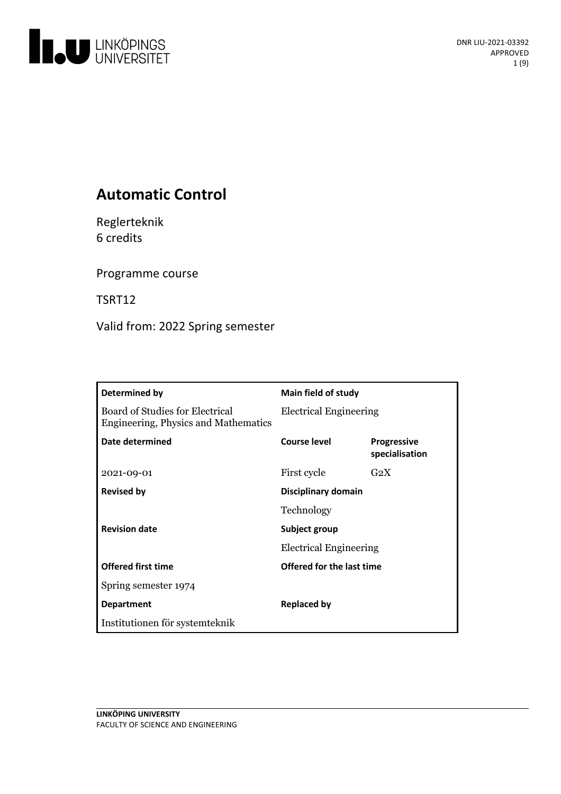

# **Automatic Control**

Reglerteknik 6 credits

Programme course

TSRT12

Valid from: 2022 Spring semester

| Determined by                                                           | Main field of study                            |                                      |
|-------------------------------------------------------------------------|------------------------------------------------|--------------------------------------|
| Board of Studies for Electrical<br>Engineering, Physics and Mathematics | <b>Electrical Engineering</b>                  |                                      |
| Date determined                                                         | Course level                                   | <b>Progressive</b><br>specialisation |
| 2021-09-01                                                              | First cycle                                    | $G_2X$                               |
| <b>Revised by</b>                                                       | <b>Disciplinary domain</b>                     |                                      |
|                                                                         | Technology                                     |                                      |
| <b>Revision date</b>                                                    | Subject group<br><b>Electrical Engineering</b> |                                      |
|                                                                         |                                                |                                      |
| <b>Offered first time</b>                                               | <b>Offered for the last time</b>               |                                      |
| Spring semester 1974                                                    |                                                |                                      |
| <b>Department</b>                                                       | <b>Replaced by</b>                             |                                      |
| Institutionen för systemteknik                                          |                                                |                                      |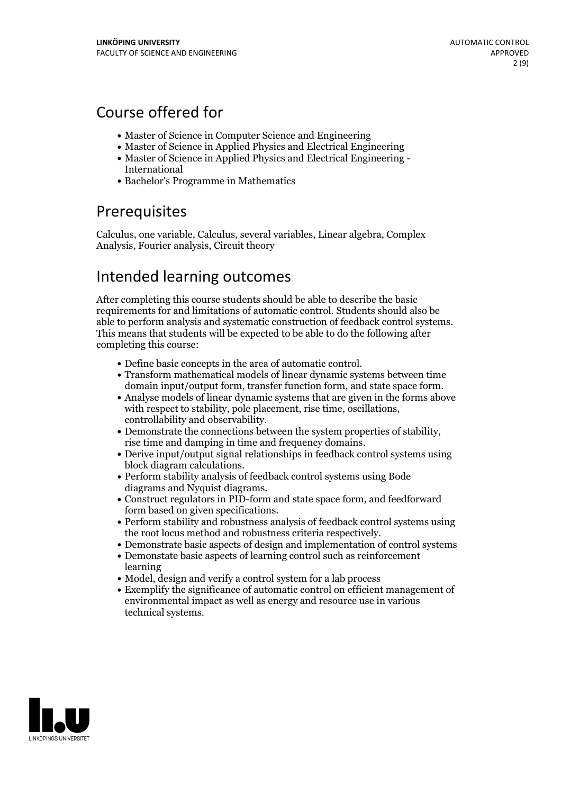# Course offered for

- Master of Science in Computer Science and Engineering
- Master of Science in Applied Physics and Electrical Engineering
- Master of Science in Applied Physics and Electrical Engineering International
- Bachelor's Programme in Mathematics

## Prerequisites

Calculus, one variable, Calculus, several variables, Linear algebra, Complex Analysis, Fourier analysis, Circuit theory

## Intended learning outcomes

After completing this course students should be able to describe the basic requirements for and limitations of automatic control. Students should also be able to perform analysis and systematic construction of feedback control systems. This means that students will be expected to be able to do the following after completing this course:

- 
- Define basic concepts in the area of automatic control. Transform mathematical models of linear dynamic systems between time
- domain input/output form, transfer function form, and state space form.<br>
Analyse models of linear dynamic systems that are given in the forms above with respect to stability, pole placement, rise time, oscillations,
- controllability and observability.<br>• Demonstrate the connections between the system properties of stability,<br>rise time and damping in time and frequency domains.<br>• Derive input/output signal relationships in feedback contr
- 
- block diagram calculations. Perform stability analysis of feedback control systems using Bode
- diagrams and Nyquist diagrams.<br>• Construct regulators in PID-form and state space form, and feedforward
- form based on given specifications.<br>• Perform stability and robustness analysis of feedback control systems using<br>the root locus method and robustness criteria respectively.
- Demonstrate basic aspects of design and implementation of control systems
- Demonstate basic aspects of learning control such as reinforcement learning
- Model, design and verify a control system for a lab process
- Exemplify the significance of automatic control on efficient management of environmental impact as well as energy and resource use in various technical systems.

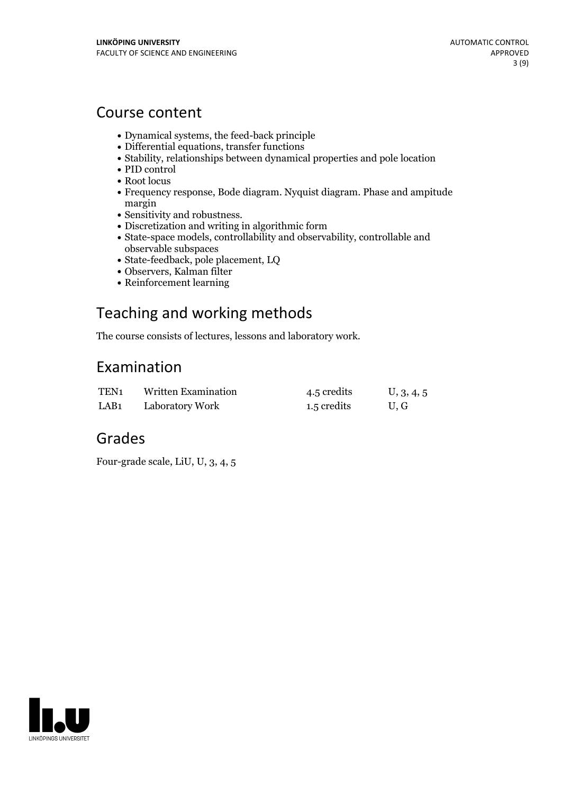## Course content

- Dynamical systems, the feed-back principle
- Differential equations, transfer functions
- Stability, relationships between dynamical properties and pole location
- PID control
- Root locus
- Frequency response, Bode diagram. Nyquist diagram. Phase and ampitude margin<br>• Sensitivity and robustness.
- 
- Discretization and writing in algorithmic form
- State-space models, controllability and observability, controllable and observable subspaces
- State-feedback, pole placement, LQ
- Observers, Kalman filter
- Reinforcement learning

# Teaching and working methods

The course consists of lectures, lessons and laboratory work.

## Examination

| TEN <sub>1</sub> | Written Examination | 4.5 credits | U, 3, 4, 5 |
|------------------|---------------------|-------------|------------|
| LAB <sub>1</sub> | Laboratory Work     | 1.5 credits | U.G        |

## Grades

Four-grade scale, LiU, U, 3, 4, 5

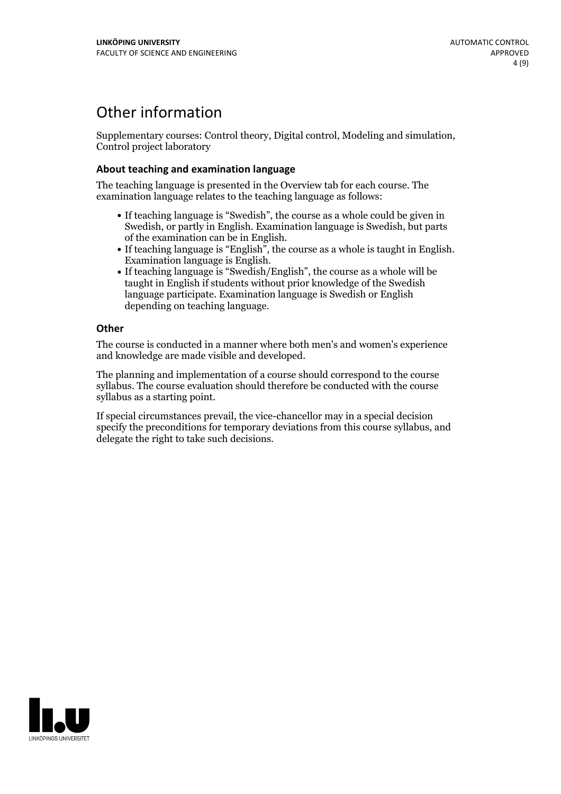## Other information

Supplementary courses: Control theory, Digital control, Modeling and simulation, Control project laboratory

### **About teaching and examination language**

The teaching language is presented in the Overview tab for each course. The examination language relates to the teaching language as follows:

- If teaching language is "Swedish", the course as a whole could be given in Swedish, or partly in English. Examination language is Swedish, but parts
- of the examination can be in English. If teaching language is "English", the course as <sup>a</sup> whole is taught in English. Examination language is English. If teaching language is "Swedish/English", the course as <sup>a</sup> whole will be
- taught in English if students without prior knowledge of the Swedish language participate. Examination language is Swedish or English depending on teaching language.

### **Other**

The course is conducted in a manner where both men's and women's experience and knowledge are made visible and developed.

The planning and implementation of a course should correspond to the course syllabus. The course evaluation should therefore be conducted with the course syllabus as a starting point.

If special circumstances prevail, the vice-chancellor may in a special decision specify the preconditions for temporary deviations from this course syllabus, and delegate the right to take such decisions.

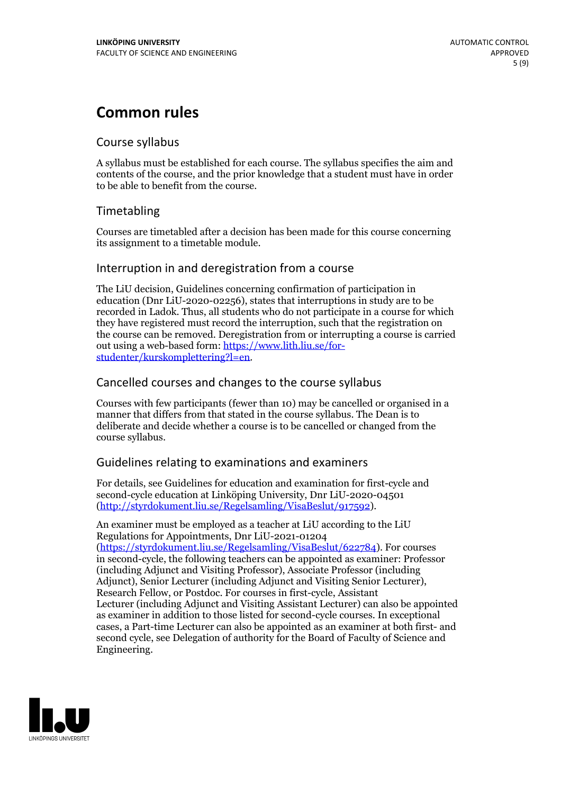# **Common rules**

## Course syllabus

A syllabus must be established for each course. The syllabus specifies the aim and contents of the course, and the prior knowledge that a student must have in order to be able to benefit from the course.

## Timetabling

Courses are timetabled after a decision has been made for this course concerning its assignment to a timetable module.

## Interruption in and deregistration from a course

The LiU decision, Guidelines concerning confirmation of participation in education (Dnr LiU-2020-02256), states that interruptions in study are to be recorded in Ladok. Thus, all students who do not participate in a course for which they have registered must record the interruption, such that the registration on the course can be removed. Deregistration from or interrupting a course is carried out using <sup>a</sup> web-based form: https://www.lith.liu.se/for- [studenter/kurskomplettering?l=en.](https://www.lith.liu.se/for-studenter/kurskomplettering?l=en)

## Cancelled courses and changes to the course syllabus

Courses with few participants (fewer than 10) may be cancelled or organised in a manner that differs from that stated in the course syllabus. The Dean is to deliberate and decide whether a course is to be cancelled or changed from the course syllabus.

## Guidelines relating to examinations and examiners

For details, see Guidelines for education and examination for first-cycle and second-cycle education at Linköping University, Dnr LiU-2020-04501 [\(http://styrdokument.liu.se/Regelsamling/VisaBeslut/917592\)](http://styrdokument.liu.se/Regelsamling/VisaBeslut/917592).

An examiner must be employed as a teacher at LiU according to the LiU Regulations for Appointments, Dnr LiU-2021-01204 [\(https://styrdokument.liu.se/Regelsamling/VisaBeslut/622784](https://styrdokument.liu.se/Regelsamling/VisaBeslut/622784)). For courses in second-cycle, the following teachers can be appointed as examiner: Professor (including Adjunct and Visiting Professor), Associate Professor (including Adjunct), Senior Lecturer (including Adjunct and Visiting Senior Lecturer), Research Fellow, or Postdoc. For courses in first-cycle, Assistant Lecturer (including Adjunct and Visiting Assistant Lecturer) can also be appointed as examiner in addition to those listed for second-cycle courses. In exceptional cases, a Part-time Lecturer can also be appointed as an examiner at both first- and second cycle, see Delegation of authority for the Board of Faculty of Science and Engineering.

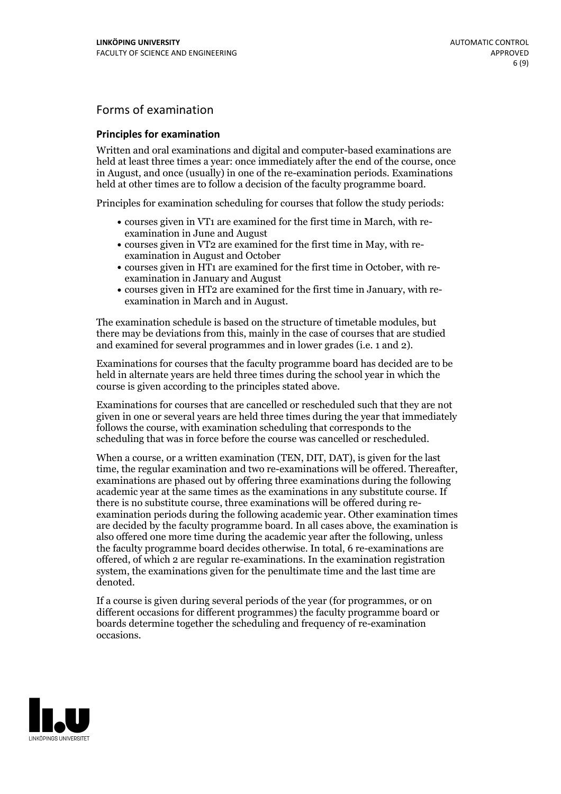## Forms of examination

### **Principles for examination**

Written and oral examinations and digital and computer-based examinations are held at least three times a year: once immediately after the end of the course, once in August, and once (usually) in one of the re-examination periods. Examinations held at other times are to follow a decision of the faculty programme board.

Principles for examination scheduling for courses that follow the study periods:

- courses given in VT1 are examined for the first time in March, with re-examination in June and August
- courses given in VT2 are examined for the first time in May, with re-examination in August and October
- courses given in HT1 are examined for the first time in October, with re-examination in January and August
- courses given in HT2 are examined for the first time in January, with re-examination in March and in August.

The examination schedule is based on the structure of timetable modules, but there may be deviations from this, mainly in the case of courses that are studied and examined for several programmes and in lower grades (i.e. 1 and 2).

Examinations for courses that the faculty programme board has decided are to be held in alternate years are held three times during the school year in which the course is given according to the principles stated above.

Examinations for courses that are cancelled orrescheduled such that they are not given in one or several years are held three times during the year that immediately follows the course, with examination scheduling that corresponds to the scheduling that was in force before the course was cancelled or rescheduled.

When a course, or a written examination (TEN, DIT, DAT), is given for the last time, the regular examination and two re-examinations will be offered. Thereafter, examinations are phased out by offering three examinations during the following academic year at the same times as the examinations in any substitute course. If there is no substitute course, three examinations will be offered during re- examination periods during the following academic year. Other examination times are decided by the faculty programme board. In all cases above, the examination is also offered one more time during the academic year after the following, unless the faculty programme board decides otherwise. In total, 6 re-examinations are offered, of which 2 are regular re-examinations. In the examination registration system, the examinations given for the penultimate time and the last time are denoted.

If a course is given during several periods of the year (for programmes, or on different occasions for different programmes) the faculty programme board or boards determine together the scheduling and frequency of re-examination occasions.

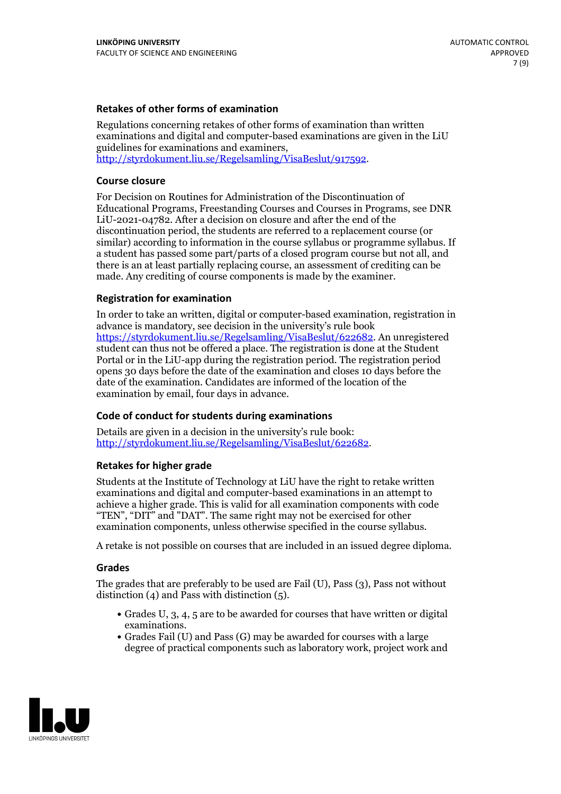### **Retakes of other forms of examination**

Regulations concerning retakes of other forms of examination than written examinations and digital and computer-based examinations are given in the LiU guidelines for examinations and examiners, [http://styrdokument.liu.se/Regelsamling/VisaBeslut/917592.](http://styrdokument.liu.se/Regelsamling/VisaBeslut/917592)

### **Course closure**

For Decision on Routines for Administration of the Discontinuation of Educational Programs, Freestanding Courses and Courses in Programs, see DNR LiU-2021-04782. After a decision on closure and after the end of the discontinuation period, the students are referred to a replacement course (or similar) according to information in the course syllabus or programme syllabus. If a student has passed some part/parts of a closed program course but not all, and there is an at least partially replacing course, an assessment of crediting can be made. Any crediting of course components is made by the examiner.

#### **Registration for examination**

In order to take an written, digital or computer-based examination, registration in advance is mandatory, see decision in the university's rule book [https://styrdokument.liu.se/Regelsamling/VisaBeslut/622682.](https://styrdokument.liu.se/Regelsamling/VisaBeslut/622682) An unregistered student can thus not be offered a place. The registration is done at the Student Portal or in the LiU-app during the registration period. The registration period opens 30 days before the date of the examination and closes 10 days before the date of the examination. Candidates are informed of the location of the examination by email, four days in advance.

### **Code of conduct for students during examinations**

Details are given in a decision in the university's rule book: <http://styrdokument.liu.se/Regelsamling/VisaBeslut/622682>.

#### **Retakes for higher grade**

Students at the Institute of Technology at LiU have the right to retake written examinations and digital and computer-based examinations in an attempt to achieve a higher grade. This is valid for all examination components with code "TEN", "DIT" and "DAT". The same right may not be exercised for other examination components, unless otherwise specified in the course syllabus.

A retake is not possible on courses that are included in an issued degree diploma.

#### **Grades**

The grades that are preferably to be used are Fail (U), Pass (3), Pass not without distinction  $(4)$  and Pass with distinction  $(5)$ .

- Grades U, 3, 4, 5 are to be awarded for courses that have written or digital examinations.<br>• Grades Fail (U) and Pass (G) may be awarded for courses with a large
- degree of practical components such as laboratory work, project work and

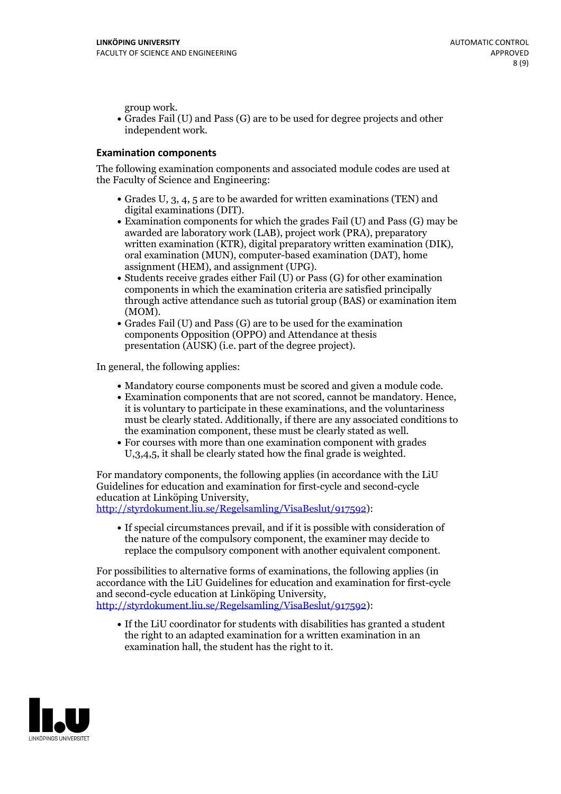group work.<br>• Grades Fail (U) and Pass (G) are to be used for degree projects and other independent work.

#### **Examination components**

The following examination components and associated module codes are used at the Faculty of Science and Engineering:

- Grades U, 3, 4, 5 are to be awarded for written examinations (TEN) and
- digital examinations (DIT).<br>• Examination components for which the grades Fail (U) and Pass (G) may be awarded are laboratory work (LAB), project work (PRA), preparatory written examination (KTR), digital preparatory written examination (DIK), oral examination (MUN), computer-based examination (DAT), home
- assignment (HEM), and assignment (UPG).<br>• Students receive grades either Fail (U) or Pass (G) for other examination components in which the examination criteria are satisfied principally through active attendance such as tutorial group (BAS) or examination item (MOM).<br>• Grades Fail (U) and Pass (G) are to be used for the examination
- components Opposition (OPPO) and Attendance at thesis presentation (AUSK) (i.e. part of the degree project).

In general, the following applies:

- 
- Mandatory course components must be scored and given <sup>a</sup> module code. Examination components that are not scored, cannot be mandatory. Hence, it is voluntary to participate in these examinations, and the voluntariness must be clearly stated. Additionally, if there are any associated conditions to
- the examination component, these must be clearly stated as well.<br>• For courses with more than one examination component with grades U,3,4,5, it shall be clearly stated how the final grade is weighted.

For mandatory components, the following applies (in accordance with the LiU Guidelines for education and examination for first-cycle and second-cycle education at Linköping University,<br>[http://styrdokument.liu.se/Regelsamling/VisaBeslut/917592\)](http://styrdokument.liu.se/Regelsamling/VisaBeslut/917592):

If special circumstances prevail, and if it is possible with consideration of the nature of the compulsory component, the examiner may decide to replace the compulsory component with another equivalent component.

For possibilities to alternative forms of examinations, the following applies (in accordance with the LiU Guidelines for education and examination for first-cycle [http://styrdokument.liu.se/Regelsamling/VisaBeslut/917592\)](http://styrdokument.liu.se/Regelsamling/VisaBeslut/917592):

If the LiU coordinator for students with disabilities has granted a student the right to an adapted examination for a written examination in an examination hall, the student has the right to it.